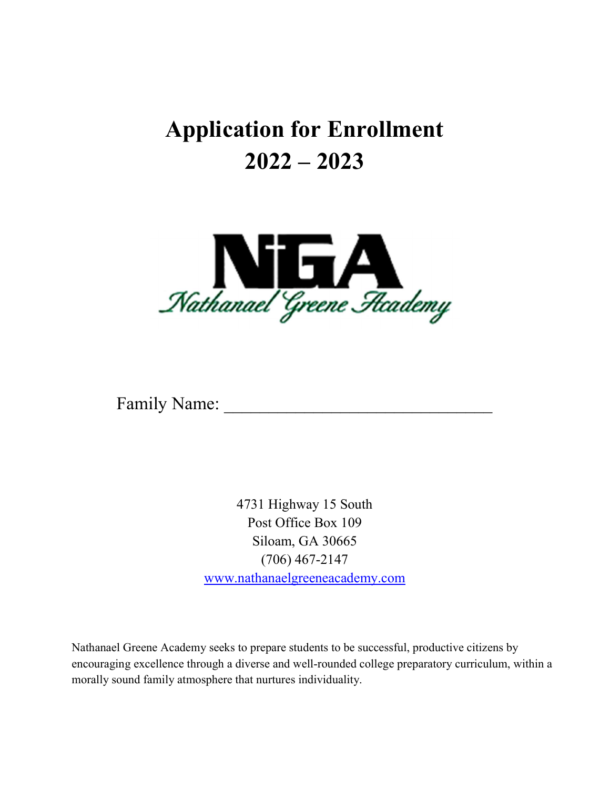## Application for Enrollment 2022 – 2023



Family Name:

4731 Highway 15 South Post Office Box 109 Siloam, GA 30665 (706) 467-2147 www.nathanaelgreeneacademy.com

Nathanael Greene Academy seeks to prepare students to be successful, productive citizens by encouraging excellence through a diverse and well-rounded college preparatory curriculum, within a morally sound family atmosphere that nurtures individuality.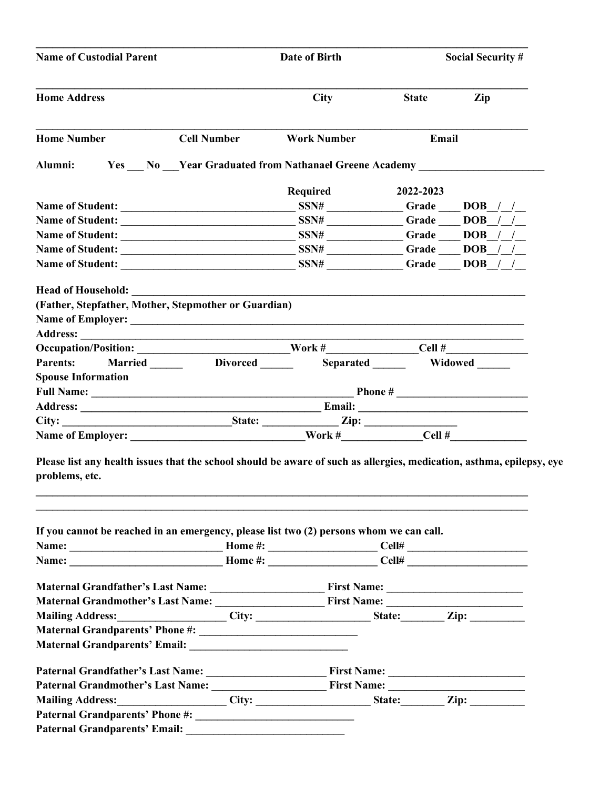| <b>Name of Custodial Parent</b>                                                                                                                                                                                               |  | Date of Birth                                       |              | <b>Social Security #</b> |  |
|-------------------------------------------------------------------------------------------------------------------------------------------------------------------------------------------------------------------------------|--|-----------------------------------------------------|--------------|--------------------------|--|
| <b>Home Address</b>                                                                                                                                                                                                           |  | <b>City</b>                                         | <b>State</b> | Zip                      |  |
| <b>Home Number</b><br><b>Cell Number</b>                                                                                                                                                                                      |  | <b>Work Number</b>                                  |              | Email                    |  |
| Alumni:                                                                                                                                                                                                                       |  | Yes No Year Graduated from Nathanael Greene Academy |              |                          |  |
|                                                                                                                                                                                                                               |  |                                                     |              |                          |  |
|                                                                                                                                                                                                                               |  | Required                                            | 2022-2023    |                          |  |
|                                                                                                                                                                                                                               |  |                                                     |              | Grade $\_\_$ DOB $\_\_/$ |  |
| Name of Student:                                                                                                                                                                                                              |  |                                                     |              | $SSN#$ Grade DOB / /     |  |
|                                                                                                                                                                                                                               |  |                                                     |              |                          |  |
|                                                                                                                                                                                                                               |  |                                                     |              |                          |  |
|                                                                                                                                                                                                                               |  |                                                     |              | $SSN#$ Grade DOB / /     |  |
|                                                                                                                                                                                                                               |  |                                                     |              |                          |  |
| (Father, Stepfather, Mother, Stepmother or Guardian)                                                                                                                                                                          |  |                                                     |              |                          |  |
|                                                                                                                                                                                                                               |  |                                                     |              |                          |  |
|                                                                                                                                                                                                                               |  |                                                     |              |                          |  |
|                                                                                                                                                                                                                               |  |                                                     |              |                          |  |
|                                                                                                                                                                                                                               |  |                                                     |              |                          |  |
| Parents: Married Divorced                                                                                                                                                                                                     |  |                                                     |              | Separated Widowed        |  |
| <b>Spouse Information</b>                                                                                                                                                                                                     |  |                                                     |              |                          |  |
|                                                                                                                                                                                                                               |  |                                                     |              |                          |  |
|                                                                                                                                                                                                                               |  |                                                     |              |                          |  |
|                                                                                                                                                                                                                               |  |                                                     |              |                          |  |
| Please list any health issues that the school should be aware of such as allergies, medication, asthma, epilepsy, eye                                                                                                         |  |                                                     |              |                          |  |
| problems, etc.                                                                                                                                                                                                                |  |                                                     |              |                          |  |
|                                                                                                                                                                                                                               |  |                                                     |              |                          |  |
| If you cannot be reached in an emergency, please list two (2) persons whom we can call.                                                                                                                                       |  |                                                     |              |                          |  |
|                                                                                                                                                                                                                               |  |                                                     |              |                          |  |
|                                                                                                                                                                                                                               |  |                                                     |              |                          |  |
|                                                                                                                                                                                                                               |  |                                                     |              |                          |  |
|                                                                                                                                                                                                                               |  |                                                     |              |                          |  |
|                                                                                                                                                                                                                               |  |                                                     |              |                          |  |
|                                                                                                                                                                                                                               |  |                                                     |              |                          |  |
|                                                                                                                                                                                                                               |  |                                                     |              |                          |  |
| Maternal Grandparents' Email: National Contract of the Second State of the Second State of the Second State of the Second State of the Second State of the Second State of the Second State of the Second State of the Second |  |                                                     |              |                          |  |
|                                                                                                                                                                                                                               |  |                                                     |              |                          |  |
|                                                                                                                                                                                                                               |  |                                                     |              |                          |  |
| Mailing Address: City: City: State: Zip: Zip: 2014.                                                                                                                                                                           |  |                                                     |              |                          |  |
|                                                                                                                                                                                                                               |  |                                                     |              |                          |  |
|                                                                                                                                                                                                                               |  |                                                     |              |                          |  |
|                                                                                                                                                                                                                               |  |                                                     |              |                          |  |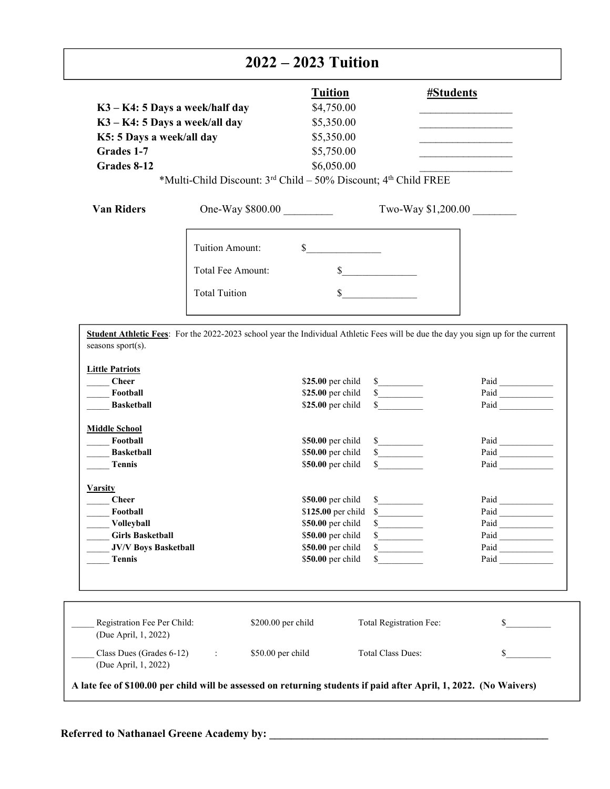## 2022 – 2023 Tuition 2022 – 2023 Tuition

| K3 - K4: 5 Days a week/half day<br>K3 - K4: 5 Days a week/all day<br>K5: 5 Days a week/all day              |                                                                 |                    | <b>Tuition</b><br>\$4,750.00<br>\$5,350.00                                                                                                                                                      | <b>#Students</b><br>the control of the control of the control of the control of the control of |                                                                                                                                                  |
|-------------------------------------------------------------------------------------------------------------|-----------------------------------------------------------------|--------------------|-------------------------------------------------------------------------------------------------------------------------------------------------------------------------------------------------|------------------------------------------------------------------------------------------------|--------------------------------------------------------------------------------------------------------------------------------------------------|
|                                                                                                             |                                                                 |                    | \$5,350.00                                                                                                                                                                                      |                                                                                                |                                                                                                                                                  |
| Grades 1-7                                                                                                  |                                                                 |                    | \$5,750.00                                                                                                                                                                                      |                                                                                                |                                                                                                                                                  |
| Grades 8-12                                                                                                 |                                                                 |                    | \$6,050.00                                                                                                                                                                                      |                                                                                                |                                                                                                                                                  |
|                                                                                                             | *Multi-Child Discount: 3rd Child - 50% Discount; 4th Child FREE |                    |                                                                                                                                                                                                 |                                                                                                |                                                                                                                                                  |
| <b>Van Riders</b>                                                                                           | One-Way \$800.00                                                |                    |                                                                                                                                                                                                 | Two-Way \$1,200.00                                                                             |                                                                                                                                                  |
|                                                                                                             | Tuition Amount:                                                 |                    | $\sim$                                                                                                                                                                                          |                                                                                                |                                                                                                                                                  |
|                                                                                                             | Total Fee Amount:                                               |                    | $\sim$                                                                                                                                                                                          |                                                                                                |                                                                                                                                                  |
|                                                                                                             | <b>Total Tuition</b>                                            |                    | $\mathbb{S}$                                                                                                                                                                                    |                                                                                                |                                                                                                                                                  |
| <b>Little Patriots</b><br><b>Cheer</b><br>Football<br><b>Basketball</b><br><b>Middle School</b><br>Football |                                                                 |                    | \$25.00 per child<br>s<br>s<br>\$25.00 per child<br>$\sim$<br>\$25.00 per child<br>\$50.00 per child<br>$\frac{\text{S}}{\text{S}}$                                                             |                                                                                                | Paid<br>$\begin{tabular}{ c c } \hline \textbf{Pad} & \textbf{1} & \textbf{1} & \textbf{1} & \textbf{1} \\ \hline \end{tabular}$<br>Paid<br>Paid |
| <b>Basketball</b><br><b>Tennis</b>                                                                          |                                                                 |                    | s<br>\$50.00 per child<br>$\frac{\sqrt{2}}{2}$<br>\$50.00 per child                                                                                                                             |                                                                                                | $\begin{tabular}{ c c } \hline \textbf{Pad} & \textbf{1} & \textbf{1} & \textbf{1} & \textbf{1} \\ \hline \end{tabular}$<br>Paid                 |
| <b>Varsity</b><br><b>Cheer</b><br>Football<br>Volleyball<br><b>Girls Basketball</b>                         |                                                                 |                    | \$50.00 per child<br>$\frac{\text{S}}{\text{S}}$<br>\$125.00 per child<br>$\mathcal{S}$<br>\$50.00 per child<br>$\frac{\text{S}}{\text{S}}$<br>\$50.00 per child<br>$\frac{\text{S}}{\text{S}}$ |                                                                                                | Paid<br>Paid<br>Paid<br>Paid                                                                                                                     |
| <b>JV/V Boys Basketball</b><br><b>Tennis</b>                                                                |                                                                 |                    | \$50.00 per child<br>$\frac{\sqrt{2}}{2}$<br>\$50.00 per child<br>\$                                                                                                                            |                                                                                                | Paid                                                                                                                                             |
| Registration Fee Per Child:<br>(Due April, 1, 2022)                                                         |                                                                 | \$200.00 per child | Total Registration Fee:                                                                                                                                                                         |                                                                                                | \$                                                                                                                                               |
| Class Dues (Grades 6-12)<br>(Due April, 1, 2022)                                                            |                                                                 | \$50.00 per child  | Total Class Dues:                                                                                                                                                                               |                                                                                                | \$                                                                                                                                               |

A late fee of \$100.00 per child will be assessed on returning students if paid after April, 1, 2022. (No Waivers)